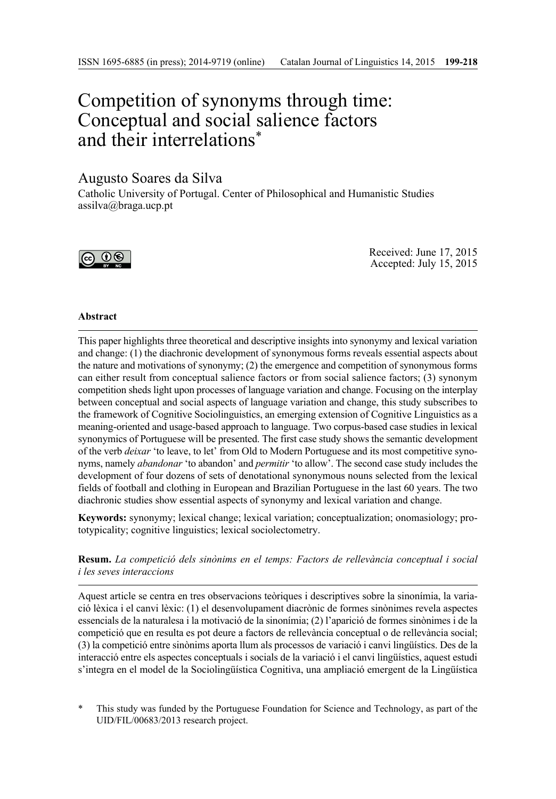# Competition of synonyms through time: Conceptual and social salience factors and their interrelations\*

# Augusto Soares da Silva

Catholic University of Portugal. Center of Philosophical and Humanistic Studies assilva@braga.ucp.pt



Received: June 17, 2015 Accepted: July 15, 2015

# **Abstract**

This paper highlights three theoretical and descriptive insights into synonymy and lexical variation and change: (1) the diachronic development of synonymous forms reveals essential aspects about the nature and motivations of synonymy; (2) the emergence and competition of synonymous forms can either result from conceptual salience factors or from social salience factors; (3) synonym competition sheds light upon processes of language variation and change. Focusing on the interplay between conceptual and social aspects of language variation and change, this study subscribes to the framework of Cognitive Sociolinguistics, an emerging extension of Cognitive Linguistics as a meaning-oriented and usage-based approach to language. Two corpus-based case studies in lexical synonymics of Portuguese will be presented. The first case study shows the semantic development of the verb *deixar* 'to leave, to let' from Old to Modern Portuguese and its most competitive synonyms, namely *abandonar* 'to abandon' and *permitir* 'to allow'. The second case study includes the development of four dozens of sets of denotational synonymous nouns selected from the lexical fields of football and clothing in European and Brazilian Portuguese in the last 60 years. The two diachronic studies show essential aspects of synonymy and lexical variation and change.

**Keywords:** synonymy; lexical change; lexical variation; conceptualization; onomasiology; prototypicality; cognitive linguistics; lexical sociolectometry.

**Resum.** *La competició dels sinònims en el temps: Factors de rellevància conceptual i social i les seves interaccions*

Aquest article se centra en tres observacions teòriques i descriptives sobre la sinonímia, la variació lèxica i el canvi lèxic: (1) el desenvolupament diacrònic de formes sinònimes revela aspectes essencials de la naturalesa i la motivació de la sinonímia; (2) l'aparició de formes sinònimes i de la competició que en resulta es pot deure a factors de rellevància conceptual o de rellevància social; (3) la competició entre sinònims aporta llum als processos de variació i canvi lingüístics. Des de la interacció entre els aspectes conceptuals i socials de la variació i el canvi lingüístics, aquest estudi s'integra en el model de la Sociolingüística Cognitiva, una ampliació emergent de la Lingüística

This study was funded by the Portuguese Foundation for Science and Technology, as part of the UID/FIL/00683/2013 research project.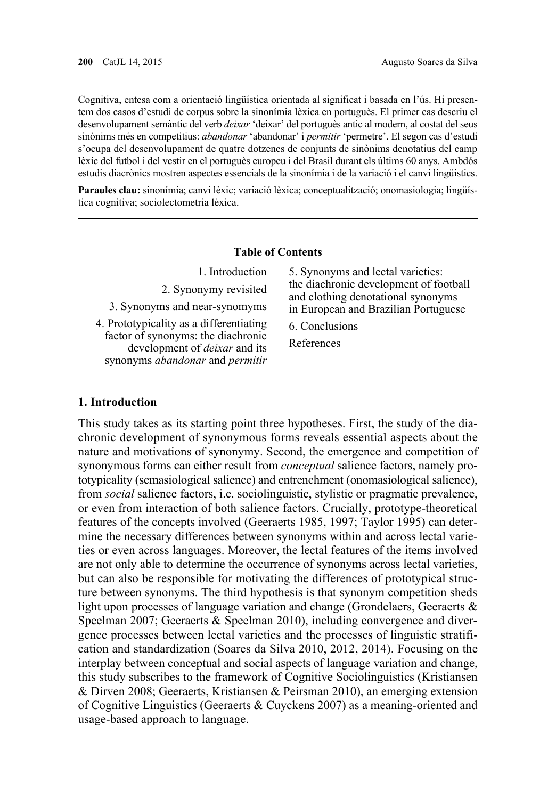Cognitiva, entesa com a orientació lingüística orientada al significat i basada en l'ús. Hi presentem dos casos d'estudi de corpus sobre la sinonímia lèxica en portuguès. El primer cas descriu el desenvolupament semàntic del verb *deixar* 'deixar' del portuguès antic al modern, al costat del seus sinònims més en competitius: *abandonar* 'abandonar' i *permitir* 'permetre'. El segon cas d'estudi s'ocupa del desenvolupament de quatre dotzenes de conjunts de sinònims denotatius del camp lèxic del futbol i del vestir en el portuguès europeu i del Brasil durant els últims 60 anys. Ambdós estudis diacrònics mostren aspectes essencials de la sinonímia i de la variació i el canvi lingüístics.

**Paraules clau:** sinonímia; canvi lèxic; variació lèxica; conceptualització; onomasiologia; lingüística cognitiva; sociolectometria lèxica.

## **Table of Contents**

| 1. Introduction                         | 5. Synonyms and lectal varieties:      |
|-----------------------------------------|----------------------------------------|
| 2. Synonymy revisited                   | the diachronic development of football |
| 3. Synonyms and near-synomyms           | and clothing denotational synonyms     |
| 4. Prototypicality as a differentiating | in European and Brazilian Portuguese   |
| factor of synonyms: the diachronic      | 6. Conclusions                         |
| development of <i>deixar</i> and its    | References                             |
| synonyms abandonar and permitir         |                                        |

## **1. Introduction**

This study takes as its starting point three hypotheses. First, the study of the diachronic development of synonymous forms reveals essential aspects about the nature and motivations of synonymy. Second, the emergence and competition of synonymous forms can either result from *conceptual* salience factors, namely prototypicality (semasiological salience) and entrenchment (onomasiological salience), from *social* salience factors, i.e. sociolinguistic, stylistic or pragmatic prevalence, or even from interaction of both salience factors. Crucially, prototype-theoretical features of the concepts involved (Geeraerts 1985, 1997; Taylor 1995) can determine the necessary differences between synonyms within and across lectal varieties or even across languages. Moreover, the lectal features of the items involved are not only able to determine the occurrence of synonyms across lectal varieties, but can also be responsible for motivating the differences of prototypical structure between synonyms. The third hypothesis is that synonym competition sheds light upon processes of language variation and change (Grondelaers, Geeraerts & Speelman 2007; Geeraerts & Speelman 2010), including convergence and divergence processes between lectal varieties and the processes of linguistic stratification and standardization (Soares da Silva 2010, 2012, 2014). Focusing on the interplay between conceptual and social aspects of language variation and change, this study subscribes to the framework of Cognitive Sociolinguistics (Kristiansen & Dirven 2008; Geeraerts, Kristiansen & Peirsman 2010), an emerging extension of Cognitive Linguistics (Geeraerts & Cuyckens 2007) as a meaning-oriented and usage-based approach to language.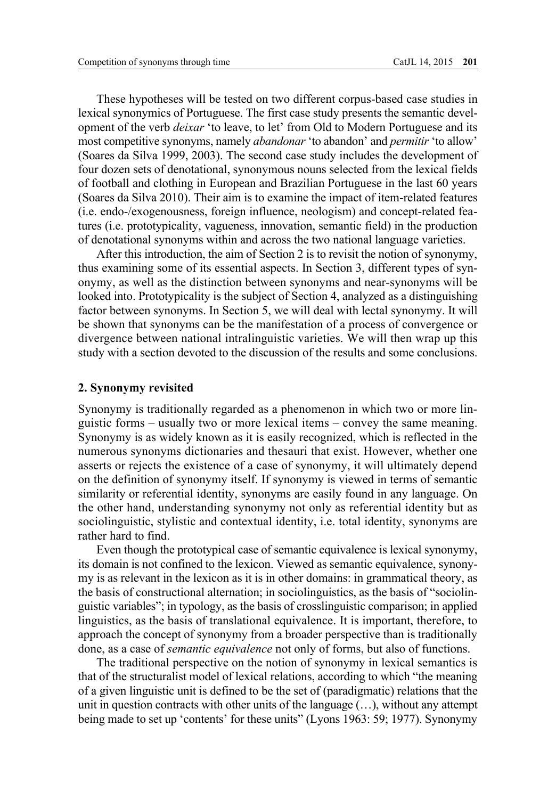These hypotheses will be tested on two different corpus-based case studies in lexical synonymics of Portuguese. The first case study presents the semantic development of the verb *deixar* 'to leave, to let' from Old to Modern Portuguese and its most competitive synonyms, namely *abandonar* 'to abandon' and *permitir* 'to allow' (Soares da Silva 1999, 2003). The second case study includes the development of four dozen sets of denotational, synonymous nouns selected from the lexical fields of football and clothing in European and Brazilian Portuguese in the last 60 years (Soares da Silva 2010). Their aim is to examine the impact of item-related features (i.e. endo-/exogenousness, foreign influence, neologism) and concept-related features (i.e. prototypicality, vagueness, innovation, semantic field) in the production of denotational synonyms within and across the two national language varieties.

After this introduction, the aim of Section 2 is to revisit the notion of synonymy, thus examining some of its essential aspects. In Section 3, different types of synonymy, as well as the distinction between synonyms and near-synonyms will be looked into. Prototypicality is the subject of Section 4, analyzed as a distinguishing factor between synonyms. In Section 5, we will deal with lectal synonymy. It will be shown that synonyms can be the manifestation of a process of convergence or divergence between national intralinguistic varieties. We will then wrap up this study with a section devoted to the discussion of the results and some conclusions.

#### **2. Synonymy revisited**

Synonymy is traditionally regarded as a phenomenon in which two or more linguistic forms – usually two or more lexical items – convey the same meaning. Synonymy is as widely known as it is easily recognized, which is reflected in the numerous synonyms dictionaries and thesauri that exist. However, whether one asserts or rejects the existence of a case of synonymy, it will ultimately depend on the definition of synonymy itself. If synonymy is viewed in terms of semantic similarity or referential identity, synonyms are easily found in any language. On the other hand, understanding synonymy not only as referential identity but as sociolinguistic, stylistic and contextual identity, i.e. total identity, synonyms are rather hard to find.

Even though the prototypical case of semantic equivalence is lexical synonymy, its domain is not confined to the lexicon. Viewed as semantic equivalence, synonymy is as relevant in the lexicon as it is in other domains: in grammatical theory, as the basis of constructional alternation; in sociolinguistics, as the basis of "sociolinguistic variables"; in typology, as the basis of crosslinguistic comparison; in applied linguistics, as the basis of translational equivalence. It is important, therefore, to approach the concept of synonymy from a broader perspective than is traditionally done, as a case of *semantic equivalence* not only of forms, but also of functions.

The traditional perspective on the notion of synonymy in lexical semantics is that of the structuralist model of lexical relations, according to which "the meaning of a given linguistic unit is defined to be the set of (paradigmatic) relations that the unit in question contracts with other units of the language (…), without any attempt being made to set up 'contents' for these units" (Lyons 1963: 59; 1977). Synonymy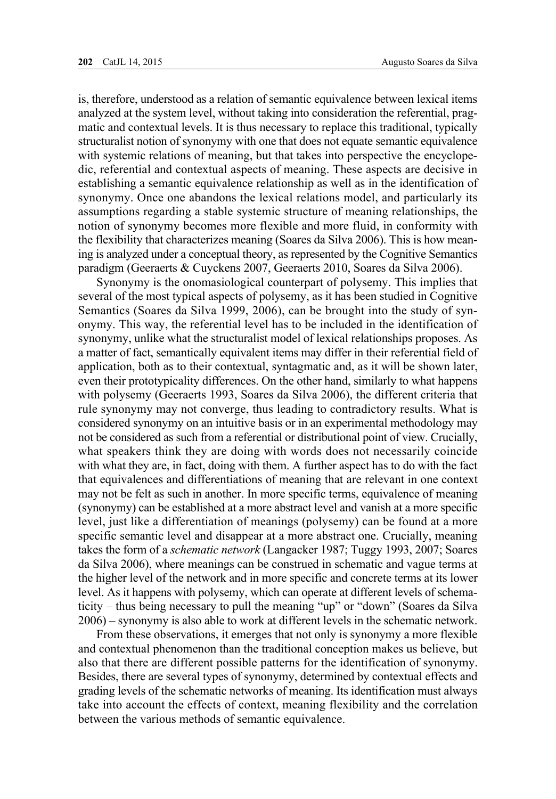is, therefore, understood as a relation of semantic equivalence between lexical items analyzed at the system level, without taking into consideration the referential, pragmatic and contextual levels. It is thus necessary to replace this traditional, typically structuralist notion of synonymy with one that does not equate semantic equivalence with systemic relations of meaning, but that takes into perspective the encyclopedic, referential and contextual aspects of meaning. These aspects are decisive in establishing a semantic equivalence relationship as well as in the identification of synonymy. Once one abandons the lexical relations model, and particularly its assumptions regarding a stable systemic structure of meaning relationships, the notion of synonymy becomes more flexible and more fluid, in conformity with the flexibility that characterizes meaning (Soares da Silva 2006). This is how meaning is analyzed under a conceptual theory, as represented by the Cognitive Semantics paradigm (Geeraerts & Cuyckens 2007, Geeraerts 2010, Soares da Silva 2006).

Synonymy is the onomasiological counterpart of polysemy. This implies that several of the most typical aspects of polysemy, as it has been studied in Cognitive Semantics (Soares da Silva 1999, 2006), can be brought into the study of synonymy. This way, the referential level has to be included in the identification of synonymy, unlike what the structuralist model of lexical relationships proposes. As a matter of fact, semantically equivalent items may differ in their referential field of application, both as to their contextual, syntagmatic and, as it will be shown later, even their prototypicality differences. On the other hand, similarly to what happens with polysemy (Geeraerts 1993, Soares da Silva 2006), the different criteria that rule synonymy may not converge, thus leading to contradictory results. What is considered synonymy on an intuitive basis or in an experimental methodology may not be considered as such from a referential or distributional point of view. Crucially, what speakers think they are doing with words does not necessarily coincide with what they are, in fact, doing with them. A further aspect has to do with the fact that equivalences and differentiations of meaning that are relevant in one context may not be felt as such in another. In more specific terms, equivalence of meaning (synonymy) can be established at a more abstract level and vanish at a more specific level, just like a differentiation of meanings (polysemy) can be found at a more specific semantic level and disappear at a more abstract one. Crucially, meaning takes the form of a *schematic network* (Langacker 1987; Tuggy 1993, 2007; Soares da Silva 2006), where meanings can be construed in schematic and vague terms at the higher level of the network and in more specific and concrete terms at its lower level. As it happens with polysemy, which can operate at different levels of schematicity – thus being necessary to pull the meaning "up" or "down" (Soares da Silva 2006) – synonymy is also able to work at different levels in the schematic network.

From these observations, it emerges that not only is synonymy a more flexible and contextual phenomenon than the traditional conception makes us believe, but also that there are different possible patterns for the identification of synonymy. Besides, there are several types of synonymy, determined by contextual effects and grading levels of the schematic networks of meaning. Its identification must always take into account the effects of context, meaning flexibility and the correlation between the various methods of semantic equivalence.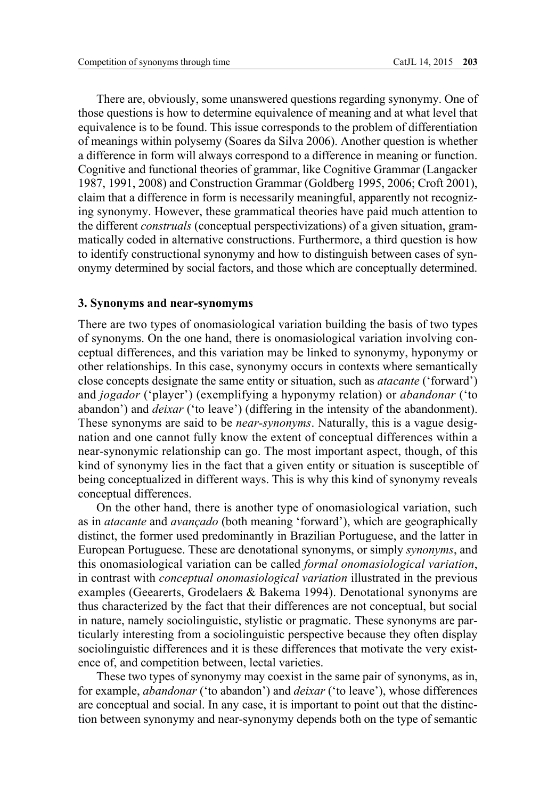There are, obviously, some unanswered questions regarding synonymy. One of those questions is how to determine equivalence of meaning and at what level that equivalence is to be found. This issue corresponds to the problem of differentiation of meanings within polysemy (Soares da Silva 2006). Another question is whether a difference in form will always correspond to a difference in meaning or function. Cognitive and functional theories of grammar, like Cognitive Grammar (Langacker 1987, 1991, 2008) and Construction Grammar (Goldberg 1995, 2006; Croft 2001), claim that a difference in form is necessarily meaningful, apparently not recognizing synonymy. However, these grammatical theories have paid much attention to the different *construals* (conceptual perspectivizations) of a given situation, grammatically coded in alternative constructions. Furthermore, a third question is how to identify constructional synonymy and how to distinguish between cases of synonymy determined by social factors, and those which are conceptually determined.

#### **3. Synonyms and near-synomyms**

There are two types of onomasiological variation building the basis of two types of synonyms. On the one hand, there is onomasiological variation involving conceptual differences, and this variation may be linked to synonymy, hyponymy or other relationships. In this case, synonymy occurs in contexts where semantically close concepts designate the same entity or situation, such as *atacante* ('forward') and *jogador* ('player') (exemplifying a hyponymy relation) or *abandonar* ('to abandon') and *deixar* ('to leave') (differing in the intensity of the abandonment). These synonyms are said to be *near-synonyms*. Naturally, this is a vague designation and one cannot fully know the extent of conceptual differences within a near-synonymic relationship can go. The most important aspect, though, of this kind of synonymy lies in the fact that a given entity or situation is susceptible of being conceptualized in different ways. This is why this kind of synonymy reveals conceptual differences.

On the other hand, there is another type of onomasiological variation, such as in *atacante* and *avançado* (both meaning 'forward'), which are geographically distinct, the former used predominantly in Brazilian Portuguese, and the latter in European Portuguese. These are denotational synonyms, or simply *synonyms*, and this onomasiological variation can be called *formal onomasiological variation*, in contrast with *conceptual onomasiological variation* illustrated in the previous examples (Geearerts, Grodelaers & Bakema 1994). Denotational synonyms are thus characterized by the fact that their differences are not conceptual, but social in nature, namely sociolinguistic, stylistic or pragmatic. These synonyms are particularly interesting from a sociolinguistic perspective because they often display sociolinguistic differences and it is these differences that motivate the very existence of, and competition between, lectal varieties.

These two types of synonymy may coexist in the same pair of synonyms, as in, for example, *abandonar* ('to abandon') and *deixar* ('to leave'), whose differences are conceptual and social. In any case, it is important to point out that the distinction between synonymy and near-synonymy depends both on the type of semantic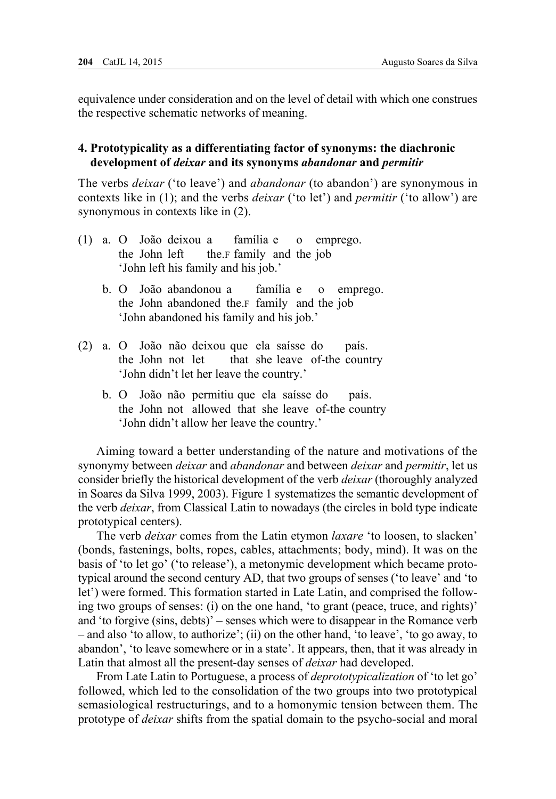equivalence under consideration and on the level of detail with which one construes the respective schematic networks of meaning.

# **4. Prototypicality as a differentiating factor of synonyms: the diachronic development of** *deixar* **and its synonyms** *abandonar* **and** *permitir*

The verbs *deixar* ('to leave') and *abandonar* (to abandon') are synonymous in contexts like in (1); and the verbs *deixar* ('to let') and *permitir* ('to allow') are synonymous in contexts like in (2).

- (1) a. O João deixou a família e o emprego. the John left the.*F* family and the job 'John left his family and his job.'
	- b. O João abandonou a família e o emprego. the John abandoned the.f family and the job 'John abandoned his family and his job.'
- (2) a. O João não deixou que ela saísse do país. the John not let that she leave of-the country 'John didn't let her leave the country.'
	- b. O João não permitiu que ela saísse do país. the John not allowed that she leave of-the country 'John didn't allow her leave the country.'

Aiming toward a better understanding of the nature and motivations of the synonymy between *deixar* and *abandonar* and between *deixar* and *permitir*, let us consider briefly the historical development of the verb *deixar* (thoroughly analyzed in Soares da Silva 1999, 2003). Figure 1 systematizes the semantic development of the verb *deixar*, from Classical Latin to nowadays (the circles in bold type indicate prototypical centers).

The verb *deixar* comes from the Latin etymon *laxare* 'to loosen, to slacken' (bonds, fastenings, bolts, ropes, cables, attachments; body, mind). It was on the basis of 'to let go' ('to release'), a metonymic development which became prototypical around the second century AD, that two groups of senses ('to leave' and 'to let') were formed. This formation started in Late Latin, and comprised the following two groups of senses: (i) on the one hand, 'to grant (peace, truce, and rights)' and 'to forgive (sins, debts)' – senses which were to disappear in the Romance verb – and also 'to allow, to authorize'; (ii) on the other hand, 'to leave', 'to go away, to abandon', 'to leave somewhere or in a state'. It appears, then, that it was already in Latin that almost all the present-day senses of *deixar* had developed.

From Late Latin to Portuguese, a process of *deprototypicalization* of 'to let go' followed, which led to the consolidation of the two groups into two prototypical semasiological restructurings, and to a homonymic tension between them. The prototype of *deixar* shifts from the spatial domain to the psycho-social and moral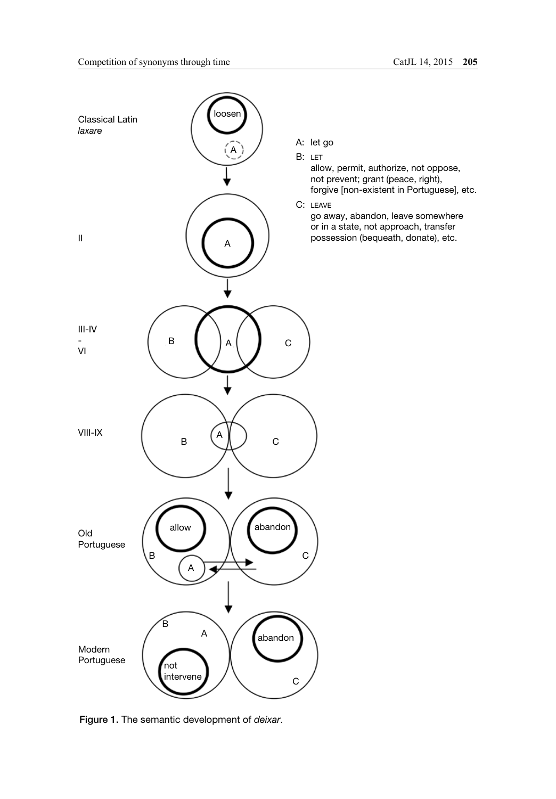

Figure 1. The semantic development of *deixar*.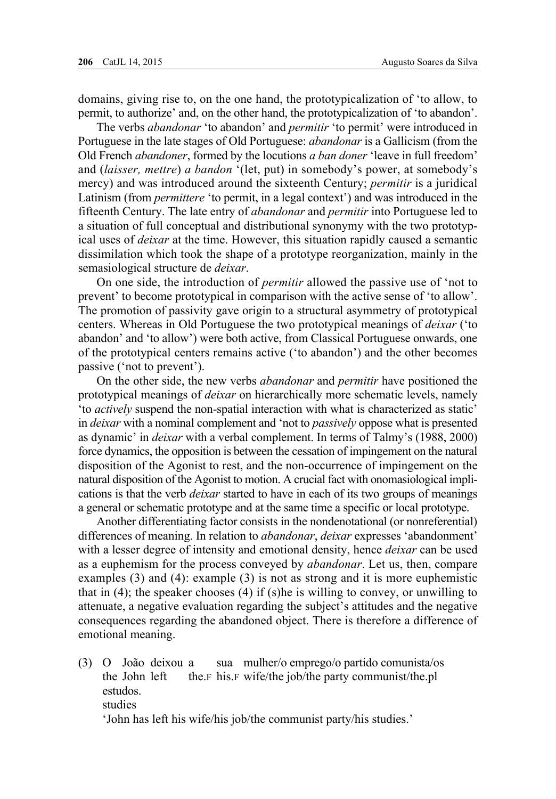domains, giving rise to, on the one hand, the prototypicalization of 'to allow, to permit, to authorize' and, on the other hand, the prototypicalization of 'to abandon'.

The verbs *abandonar* 'to abandon' and *permitir* 'to permit' were introduced in Portuguese in the late stages of Old Portuguese: *abandonar* is a Gallicism (from the Old French *abandoner*, formed by the locutions *a ban doner* 'leave in full freedom' and (*laisser, mettre*) *a bandon* '(let, put) in somebody's power, at somebody's mercy) and was introduced around the sixteenth Century; *permitir* is a juridical Latinism (from *permittere* 'to permit, in a legal context') and was introduced in the fifteenth Century. The late entry of *abandonar* and *permitir* into Portuguese led to a situation of full conceptual and distributional synonymy with the two prototypical uses of *deixar* at the time. However, this situation rapidly caused a semantic dissimilation which took the shape of a prototype reorganization, mainly in the semasiological structure de *deixar*.

On one side, the introduction of *permitir* allowed the passive use of 'not to prevent' to become prototypical in comparison with the active sense of 'to allow'. The promotion of passivity gave origin to a structural asymmetry of prototypical centers. Whereas in Old Portuguese the two prototypical meanings of *deixar* ('to abandon' and 'to allow') were both active, from Classical Portuguese onwards, one of the prototypical centers remains active ('to abandon') and the other becomes passive ('not to prevent').

On the other side, the new verbs *abandonar* and *permitir* have positioned the prototypical meanings of *deixar* on hierarchically more schematic levels, namely 'to *actively* suspend the non-spatial interaction with what is characterized as static' in *deixar* with a nominal complement and 'not to *passively* oppose what is presented as dynamic' in *deixar* with a verbal complement. In terms of Talmy's (1988, 2000) force dynamics, the opposition is between the cessation of impingement on the natural disposition of the Agonist to rest, and the non-occurrence of impingement on the natural disposition of the Agonist to motion. A crucial fact with onomasiological implications is that the verb *deixar* started to have in each of its two groups of meanings a general or schematic prototype and at the same time a specific or local prototype.

Another differentiating factor consists in the nondenotational (or nonreferential) differences of meaning. In relation to *abandonar*, *deixar* expresses 'abandonment' with a lesser degree of intensity and emotional density, hence *deixar* can be used as a euphemism for the process conveyed by *abandonar*. Let us, then, compare examples (3) and (4): example (3) is not as strong and it is more euphemistic that in  $(4)$ ; the speaker chooses  $(4)$  if  $(s)$ he is willing to convey, or unwilling to attenuate, a negative evaluation regarding the subject's attitudes and the negative consequences regarding the abandoned object. There is therefore a difference of emotional meaning.

(3) O João deixou a sua mulher/o emprego/o partido comunista/os the John left the.*F* his.*F* wife/the job/the party communist/the.pl estudos. studies 'John has left his wife/his job/the communist party/his studies.'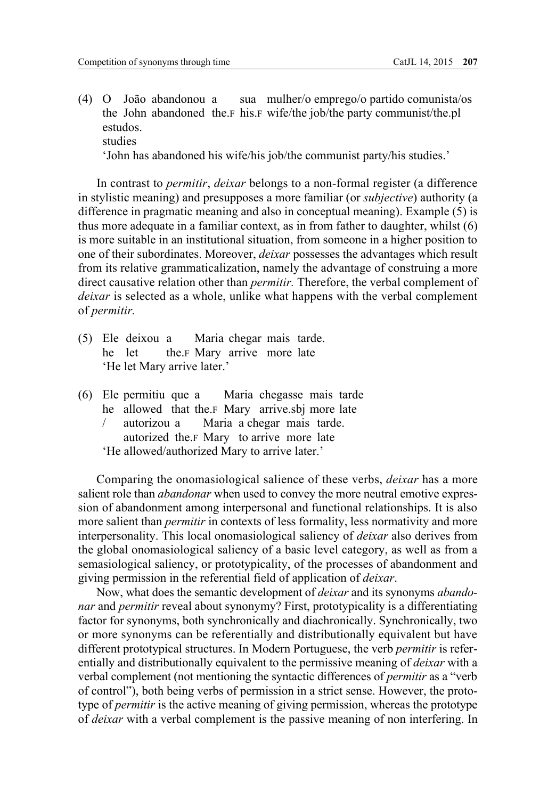(4) O João abandonou a sua mulher/o emprego/o partido comunista/os the John abandoned the.f his.f wife/the job/the party communist/the.pl estudos. studies

'John has abandoned his wife/his job/the communist party/his studies.'

In contrast to *permitir*, *deixar* belongs to a non-formal register (a difference in stylistic meaning) and presupposes a more familiar (or *subjective*) authority (a difference in pragmatic meaning and also in conceptual meaning). Example (5) is thus more adequate in a familiar context, as in from father to daughter, whilst (6) is more suitable in an institutional situation, from someone in a higher position to one of their subordinates. Moreover, *deixar* possesses the advantages which result from its relative grammaticalization, namely the advantage of construing a more direct causative relation other than *permitir.* Therefore, the verbal complement of *deixar* is selected as a whole, unlike what happens with the verbal complement of *permitir.*

- (5) Ele deixou a Maria chegar mais tarde. he let the.*F* Mary arrive more late 'He let Mary arrive later.'
- (6) Ele permitiu que a Maria chegasse mais tarde he allowed that the.<sub>F</sub> Mary arrive.sbj more late / autorizou a Maria a chegar mais tarde. autorized the.f Mary to arrive more late 'He allowed/authorized Mary to arrive later.'

Comparing the onomasiological salience of these verbs, *deixar* has a more salient role than *abandonar* when used to convey the more neutral emotive expression of abandonment among interpersonal and functional relationships. It is also more salient than *permitir* in contexts of less formality, less normativity and more interpersonality. This local onomasiological saliency of *deixar* also derives from the global onomasiological saliency of a basic level category, as well as from a semasiological saliency, or prototypicality, of the processes of abandonment and giving permission in the referential field of application of *deixar*.

Now, what does the semantic development of *deixar* and its synonyms *abandonar* and *permitir* reveal about synonymy? First, prototypicality is a differentiating factor for synonyms, both synchronically and diachronically. Synchronically, two or more synonyms can be referentially and distributionally equivalent but have different prototypical structures. In Modern Portuguese, the verb *permitir* is referentially and distributionally equivalent to the permissive meaning of *deixar* with a verbal complement (not mentioning the syntactic differences of *permitir* as a "verb of control"), both being verbs of permission in a strict sense. However, the prototype of *permitir* is the active meaning of giving permission, whereas the prototype of *deixar* with a verbal complement is the passive meaning of non interfering. In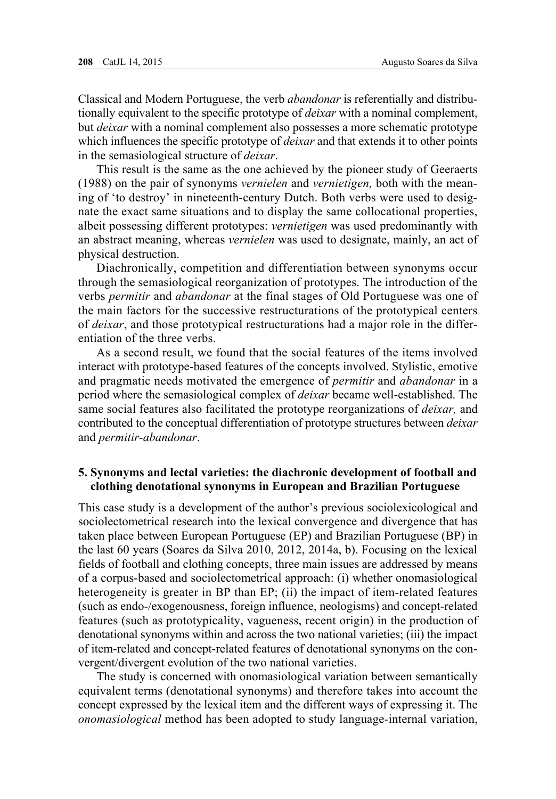Classical and Modern Portuguese, the verb *abandonar* is referentially and distributionally equivalent to the specific prototype of *deixar* with a nominal complement, but *deixar* with a nominal complement also possesses a more schematic prototype which influences the specific prototype of *deixar* and that extends it to other points in the semasiological structure of *deixar*.

This result is the same as the one achieved by the pioneer study of Geeraerts (1988) on the pair of synonyms *vernielen* and *vernietigen,* both with the meaning of 'to destroy' in nineteenth-century Dutch. Both verbs were used to designate the exact same situations and to display the same collocational properties, albeit possessing different prototypes: *vernietigen* was used predominantly with an abstract meaning, whereas *vernielen* was used to designate, mainly, an act of physical destruction.

Diachronically, competition and differentiation between synonyms occur through the semasiological reorganization of prototypes. The introduction of the verbs *permitir* and *abandonar* at the final stages of Old Portuguese was one of the main factors for the successive restructurations of the prototypical centers of *deixar*, and those prototypical restructurations had a major role in the differentiation of the three verbs.

As a second result, we found that the social features of the items involved interact with prototype-based features of the concepts involved. Stylistic, emotive and pragmatic needs motivated the emergence of *permitir* and *abandonar* in a period where the semasiological complex of *deixar* became well-established. The same social features also facilitated the prototype reorganizations of *deixar,* and contributed to the conceptual differentiation of prototype structures between *deixar* and *permitir-abandonar*.

# **5. Synonyms and lectal varieties: the diachronic development of football and clothing denotational synonyms in European and Brazilian Portuguese**

This case study is a development of the author's previous sociolexicological and sociolectometrical research into the lexical convergence and divergence that has taken place between European Portuguese (EP) and Brazilian Portuguese (BP) in the last 60 years (Soares da Silva 2010, 2012, 2014a, b). Focusing on the lexical fields of football and clothing concepts, three main issues are addressed by means of a corpus-based and sociolectometrical approach: (i) whether onomasiological heterogeneity is greater in BP than EP; (ii) the impact of item-related features (such as endo-/exogenousness, foreign influence, neologisms) and concept-related features (such as prototypicality, vagueness, recent origin) in the production of denotational synonyms within and across the two national varieties; (iii) the impact of item-related and concept-related features of denotational synonyms on the convergent/divergent evolution of the two national varieties.

The study is concerned with onomasiological variation between semantically equivalent terms (denotational synonyms) and therefore takes into account the concept expressed by the lexical item and the different ways of expressing it. The *onomasiological* method has been adopted to study language-internal variation,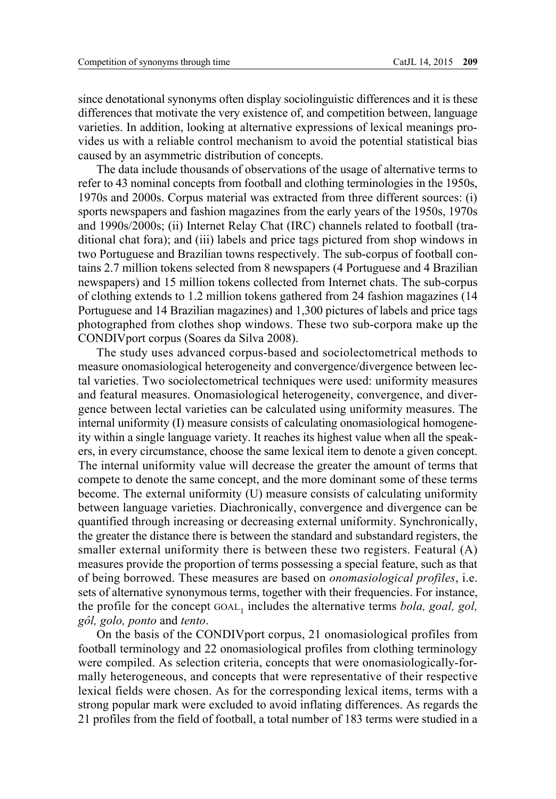since denotational synonyms often display sociolinguistic differences and it is these differences that motivate the very existence of, and competition between, language varieties. In addition, looking at alternative expressions of lexical meanings provides us with a reliable control mechanism to avoid the potential statistical bias caused by an asymmetric distribution of concepts.

The data include thousands of observations of the usage of alternative terms to refer to 43 nominal concepts from football and clothing terminologies in the 1950s, 1970s and 2000s. Corpus material was extracted from three different sources: (i) sports newspapers and fashion magazines from the early years of the 1950s, 1970s and 1990s/2000s; (ii) Internet Relay Chat (IRC) channels related to football (traditional chat fora); and (iii) labels and price tags pictured from shop windows in two Portuguese and Brazilian towns respectively. The sub-corpus of football contains 2.7 million tokens selected from 8 newspapers (4 Portuguese and 4 Brazilian newspapers) and 15 million tokens collected from Internet chats. The sub-corpus of clothing extends to 1.2 million tokens gathered from 24 fashion magazines (14 Portuguese and 14 Brazilian magazines) and 1,300 pictures of labels and price tags photographed from clothes shop windows. These two sub-corpora make up the CONDIVport corpus (Soares da Silva 2008).

The study uses advanced corpus-based and sociolectometrical methods to measure onomasiological heterogeneity and convergence/divergence between lectal varieties. Two sociolectometrical techniques were used: uniformity measures and featural measures. Onomasiological heterogeneity, convergence, and divergence between lectal varieties can be calculated using uniformity measures. The internal uniformity (I) measure consists of calculating onomasiological homogeneity within a single language variety. It reaches its highest value when all the speakers, in every circumstance, choose the same lexical item to denote a given concept. The internal uniformity value will decrease the greater the amount of terms that compete to denote the same concept, and the more dominant some of these terms become. The external uniformity (U) measure consists of calculating uniformity between language varieties. Diachronically, convergence and divergence can be quantified through increasing or decreasing external uniformity. Synchronically, the greater the distance there is between the standard and substandard registers, the smaller external uniformity there is between these two registers. Featural (A) measures provide the proportion of terms possessing a special feature, such as that of being borrowed. These measures are based on *onomasiological profiles*, i.e. sets of alternative synonymous terms, together with their frequencies. For instance, the profile for the concept GOAL<sub>1</sub> includes the alternative terms *bola, goal, gol, gôl, golo, ponto* and *tento*.

On the basis of the CONDIVport corpus, 21 onomasiological profiles from football terminology and 22 onomasiological profiles from clothing terminology were compiled. As selection criteria, concepts that were onomasiologically-formally heterogeneous, and concepts that were representative of their respective lexical fields were chosen. As for the corresponding lexical items, terms with a strong popular mark were excluded to avoid inflating differences. As regards the 21 profiles from the field of football, a total number of 183 terms were studied in a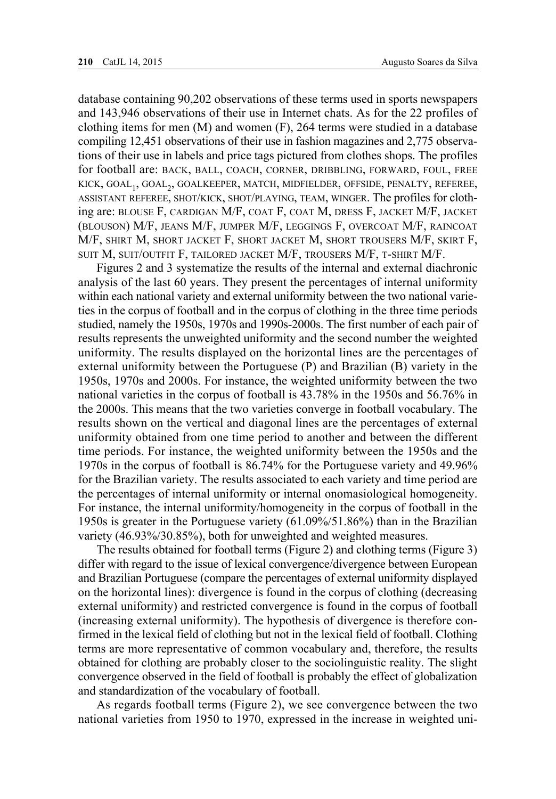database containing 90,202 observations of these terms used in sports newspapers and 143,946 observations of their use in Internet chats. As for the 22 profiles of clothing items for men  $(M)$  and women  $(F)$ , 264 terms were studied in a database compiling 12,451 observations of their use in fashion magazines and 2,775 observations of their use in labels and price tags pictured from clothes shops. The profiles for football are: back, ball, coach, corner, dribbling, forward, foul, free kick, goal1, goal2, goalkeeper, match, midfielder, offside, penalty, referee, assistant referee, shot/kick, shot/playing, team, winger. The profiles for clothing are: blouse F, cardigan M/F, coat F, coat M, dress F, jacket M/F, jacket (blouson) M/F, jeans M/F, jumper M/F, leggings F, overcoat M/F, raincoat M/F, shirt M, short jacket F, short jacket M, short trousers M/F, skirt F, suit M, suit/outfit F, tailored jacket M/F, trousers M/F, t-shirt M/F.

Figures 2 and 3 systematize the results of the internal and external diachronic analysis of the last 60 years. They present the percentages of internal uniformity within each national variety and external uniformity between the two national varieties in the corpus of football and in the corpus of clothing in the three time periods studied, namely the 1950s, 1970s and 1990s-2000s. The first number of each pair of results represents the unweighted uniformity and the second number the weighted uniformity. The results displayed on the horizontal lines are the percentages of external uniformity between the Portuguese (P) and Brazilian (B) variety in the 1950s, 1970s and 2000s. For instance, the weighted uniformity between the two national varieties in the corpus of football is 43.78% in the 1950s and 56.76% in the 2000s. This means that the two varieties converge in football vocabulary. The results shown on the vertical and diagonal lines are the percentages of external uniformity obtained from one time period to another and between the different time periods. For instance, the weighted uniformity between the 1950s and the 1970s in the corpus of football is 86.74% for the Portuguese variety and 49.96% for the Brazilian variety. The results associated to each variety and time period are the percentages of internal uniformity or internal onomasiological homogeneity. For instance, the internal uniformity/homogeneity in the corpus of football in the 1950s is greater in the Portuguese variety (61.09%/51.86%) than in the Brazilian variety (46.93%/30.85%), both for unweighted and weighted measures.

The results obtained for football terms (Figure 2) and clothing terms (Figure 3) differ with regard to the issue of lexical convergence/divergence between European and Brazilian Portuguese (compare the percentages of external uniformity displayed on the horizontal lines): divergence is found in the corpus of clothing (decreasing external uniformity) and restricted convergence is found in the corpus of football (increasing external uniformity). The hypothesis of divergence is therefore confirmed in the lexical field of clothing but not in the lexical field of football. Clothing terms are more representative of common vocabulary and, therefore, the results obtained for clothing are probably closer to the sociolinguistic reality. The slight convergence observed in the field of football is probably the effect of globalization and standardization of the vocabulary of football.

As regards football terms (Figure 2), we see convergence between the two national varieties from 1950 to 1970, expressed in the increase in weighted uni-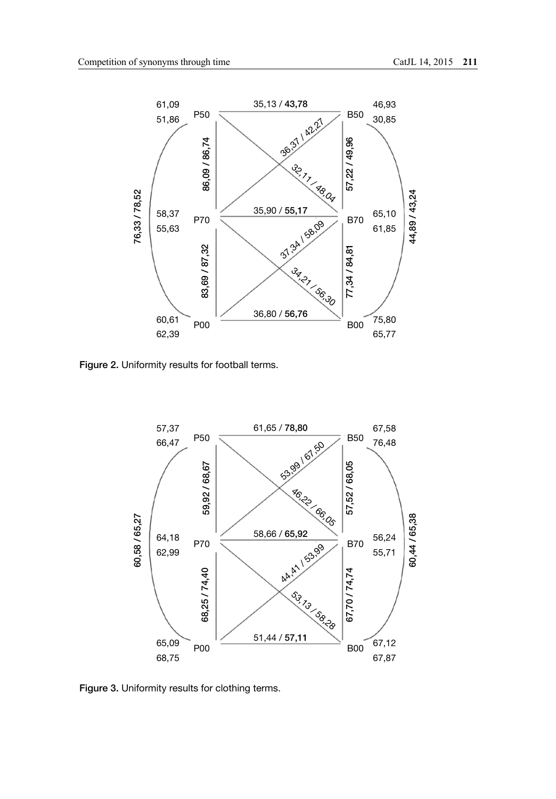

Figure 2. Uniformity results for football terms.



Figure 3. Uniformity results for clothing terms.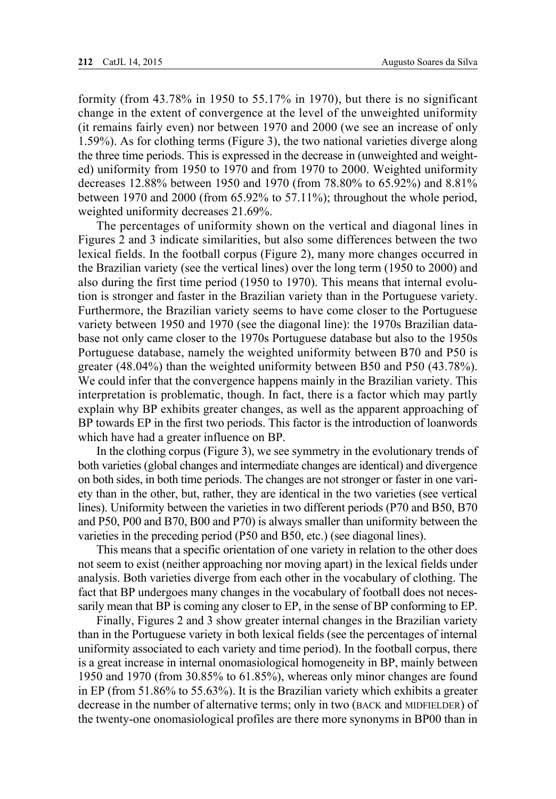formity (from 43.78% in 1950 to 55.17% in 1970), but there is no significant change in the extent of convergence at the level of the unweighted uniformity (it remains fairly even) nor between 1970 and 2000 (we see an increase of only 1.59%). As for clothing terms (Figure 3), the two national varieties diverge along the three time periods. This is expressed in the decrease in (unweighted and weighted) uniformity from 1950 to 1970 and from 1970 to 2000. Weighted uniformity decreases 12.88% between 1950 and 1970 (from 78.80% to 65.92%) and 8.81% between 1970 and 2000 (from 65.92% to 57.11%); throughout the whole period, weighted uniformity decreases 21.69%.

The percentages of uniformity shown on the vertical and diagonal lines in Figures 2 and 3 indicate similarities, but also some differences between the two lexical fields. In the football corpus (Figure 2), many more changes occurred in the Brazilian variety (see the vertical lines) over the long term (1950 to 2000) and also during the first time period (1950 to 1970). This means that internal evolution is stronger and faster in the Brazilian variety than in the Portuguese variety. Furthermore, the Brazilian variety seems to have come closer to the Portuguese variety between 1950 and 1970 (see the diagonal line): the 1970s Brazilian database not only came closer to the 1970s Portuguese database but also to the 1950s Portuguese database, namely the weighted uniformity between B70 and P50 is greater (48.04%) than the weighted uniformity between B50 and P50 (43.78%). We could infer that the convergence happens mainly in the Brazilian variety. This interpretation is problematic, though. In fact, there is a factor which may partly explain why BP exhibits greater changes, as well as the apparent approaching of BP towards EP in the first two periods. This factor is the introduction of loanwords which have had a greater influence on BP.

In the clothing corpus (Figure 3), we see symmetry in the evolutionary trends of both varieties (global changes and intermediate changes are identical) and divergence on both sides, in both time periods. The changes are not stronger or faster in one variety than in the other, but, rather, they are identical in the two varieties (see vertical lines). Uniformity between the varieties in two different periods (P70 and B50, B70 and P50, P00 and B70, B00 and P70) is always smaller than uniformity between the varieties in the preceding period (P50 and B50, etc.) (see diagonal lines).

This means that a specific orientation of one variety in relation to the other does not seem to exist (neither approaching nor moving apart) in the lexical fields under analysis. Both varieties diverge from each other in the vocabulary of clothing. The fact that BP undergoes many changes in the vocabulary of football does not necessarily mean that BP is coming any closer to EP, in the sense of BP conforming to EP.

Finally, Figures 2 and 3 show greater internal changes in the Brazilian variety than in the Portuguese variety in both lexical fields (see the percentages of internal uniformity associated to each variety and time period). In the football corpus, there is a great increase in internal onomasiological homogeneity in BP, mainly between 1950 and 1970 (from 30.85% to 61.85%), whereas only minor changes are found in EP (from 51.86% to 55.63%). It is the Brazilian variety which exhibits a greater decrease in the number of alternative terms; only in two (BACK and MIDFIELDER) of the twenty-one onomasiological profiles are there more synonyms in BP00 than in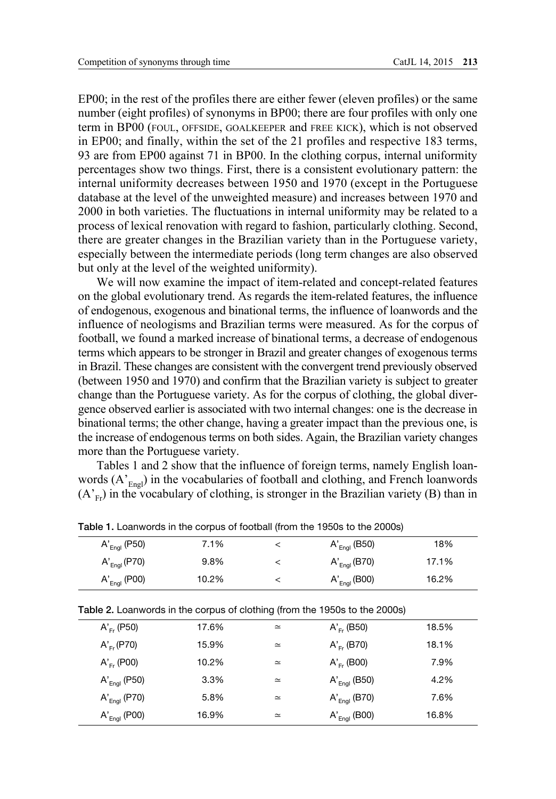EP00; in the rest of the profiles there are either fewer (eleven profiles) or the same number (eight profiles) of synonyms in BP00; there are four profiles with only one term in BP00 (foul, offside, goalkeeper and free kick), which is not observed in EP00; and finally, within the set of the 21 profiles and respective 183 terms, 93 are from EP00 against 71 in BP00. In the clothing corpus, internal uniformity percentages show two things. First, there is a consistent evolutionary pattern: the internal uniformity decreases between 1950 and 1970 (except in the Portuguese database at the level of the unweighted measure) and increases between 1970 and 2000 in both varieties. The fluctuations in internal uniformity may be related to a process of lexical renovation with regard to fashion, particularly clothing. Second, there are greater changes in the Brazilian variety than in the Portuguese variety, especially between the intermediate periods (long term changes are also observed but only at the level of the weighted uniformity).

We will now examine the impact of item-related and concept-related features on the global evolutionary trend. As regards the item-related features, the influence of endogenous, exogenous and binational terms, the influence of loanwords and the influence of neologisms and Brazilian terms were measured. As for the corpus of football, we found a marked increase of binational terms, a decrease of endogenous terms which appears to be stronger in Brazil and greater changes of exogenous terms in Brazil. These changes are consistent with the convergent trend previously observed (between 1950 and 1970) and confirm that the Brazilian variety is subject to greater change than the Portuguese variety. As for the corpus of clothing, the global divergence observed earlier is associated with two internal changes: one is the decrease in binational terms; the other change, having a greater impact than the previous one, is the increase of endogenous terms on both sides. Again, the Brazilian variety changes more than the Portuguese variety.

Tables 1 and 2 show that the influence of foreign terms, namely English loanwords  $(A'_{End})$  in the vocabularies of football and clothing, and French loanwords  $(A_{F_r})$  in the vocabulary of clothing, is stronger in the Brazilian variety (B) than in

|                                                                            | $A'_{Engl}$ (P50) | 7.1%  | $\,<\,$  | $A'_{End}$ (B50)  | 18%   |  |
|----------------------------------------------------------------------------|-------------------|-------|----------|-------------------|-------|--|
|                                                                            | $A'_{Engl}$ (P70) | 9.8%  | $\,<\,$  | $A'_{Engl}$ (B70) | 17.1% |  |
|                                                                            | $A'_{Engl}$ (P00) | 10.2% | $\,<\,$  | $A'_{Engl}$ (B00) | 16.2% |  |
| Table 2. Loanwords in the corpus of clothing (from the 1950s to the 2000s) |                   |       |          |                   |       |  |
|                                                                            | $A'_{F'}$ (P50)   | 17.6% | $\simeq$ | $A'_{E'}$ (B50)   | 18.5% |  |
|                                                                            | $A'_{E'}(P70)$    | 15.9% | $\simeq$ | $A'_{E'}$ (B70)   | 18.1% |  |
|                                                                            | $A'_{E'}$ (P00)   | 10.2% | $\simeq$ | $A'_{Fr}$ (B00)   | 7.9%  |  |
|                                                                            | $A'_{Engl}$ (P50) | 3.3%  | $\simeq$ | $A'_{End}$ (B50)  | 4.2%  |  |
|                                                                            | $A'_{Engl}$ (P70) | 5.8%  | $\simeq$ | $A'_{Engl}$ (B70) | 7.6%  |  |
|                                                                            | $A'_{End}$ (P00)  | 16.9% | $\simeq$ | $A'_{End}$ (B00)  | 16.8% |  |

Table 1. Loanwords in the corpus of football (from the 1950s to the 2000s)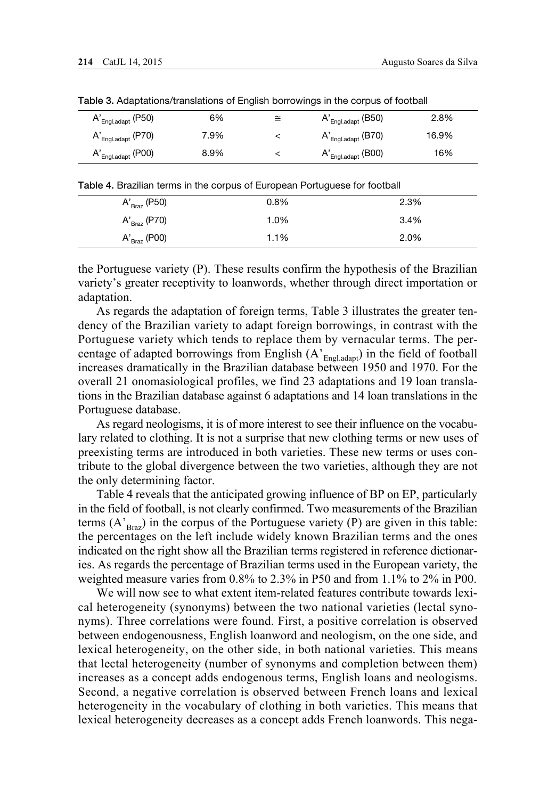| $A'_{English, adapt}$ (P50) | 6%   | ≅ | $A'_{English, adapt}$ (B50) | 2.8%  |
|-----------------------------|------|---|-----------------------------|-------|
| $A'_{English, adapt}$ (P70) | 7.9% |   | $A'_{English, adapt}$ (B70) | 16.9% |
| $A'_{English, adapt}$ (P00) | 8.9% |   | $A'_{English, adapt}$ (B00) | 16%   |

Table 3. Adaptations/translations of English borrowings in the corpus of football

Table 4. Brazilian terms in the corpus of European Portuguese for football

| $A'_{\text{Braz}}$ (P50) | 0.8% | 2.3% |
|--------------------------|------|------|
| $A'_{Braz}$ (P70)        | 1.0% | 3.4% |
| $A'_{Braz}$ (P00)        | 1.1% | 2.0% |

the Portuguese variety (P). These results confirm the hypothesis of the Brazilian variety's greater receptivity to loanwords, whether through direct importation or adaptation.

As regards the adaptation of foreign terms, Table 3 illustrates the greater tendency of the Brazilian variety to adapt foreign borrowings, in contrast with the Portuguese variety which tends to replace them by vernacular terms. The percentage of adapted borrowings from English  $(A'_{Endal}$ <sub>adapt</sub>) in the field of football</sub> increases dramatically in the Brazilian database between 1950 and 1970. For the overall 21 onomasiological profiles, we find 23 adaptations and 19 loan translations in the Brazilian database against 6 adaptations and 14 loan translations in the Portuguese database.

As regard neologisms, it is of more interest to see their influence on the vocabulary related to clothing. It is not a surprise that new clothing terms or new uses of preexisting terms are introduced in both varieties. These new terms or uses contribute to the global divergence between the two varieties, although they are not the only determining factor.

Table 4 reveals that the anticipated growing influence of BP on EP, particularly in the field of football, is not clearly confirmed. Two measurements of the Brazilian terms  $(A<sub>Brag</sub>)$  in the corpus of the Portuguese variety (P) are given in this table: the percentages on the left include widely known Brazilian terms and the ones indicated on the right show all the Brazilian terms registered in reference dictionaries. As regards the percentage of Brazilian terms used in the European variety, the weighted measure varies from 0.8% to 2.3% in P50 and from 1.1% to 2% in P00.

We will now see to what extent item-related features contribute towards lexical heterogeneity (synonyms) between the two national varieties (lectal synonyms). Three correlations were found. First, a positive correlation is observed between endogenousness, English loanword and neologism, on the one side, and lexical heterogeneity, on the other side, in both national varieties. This means that lectal heterogeneity (number of synonyms and completion between them) increases as a concept adds endogenous terms, English loans and neologisms. Second, a negative correlation is observed between French loans and lexical heterogeneity in the vocabulary of clothing in both varieties. This means that lexical heterogeneity decreases as a concept adds French loanwords. This nega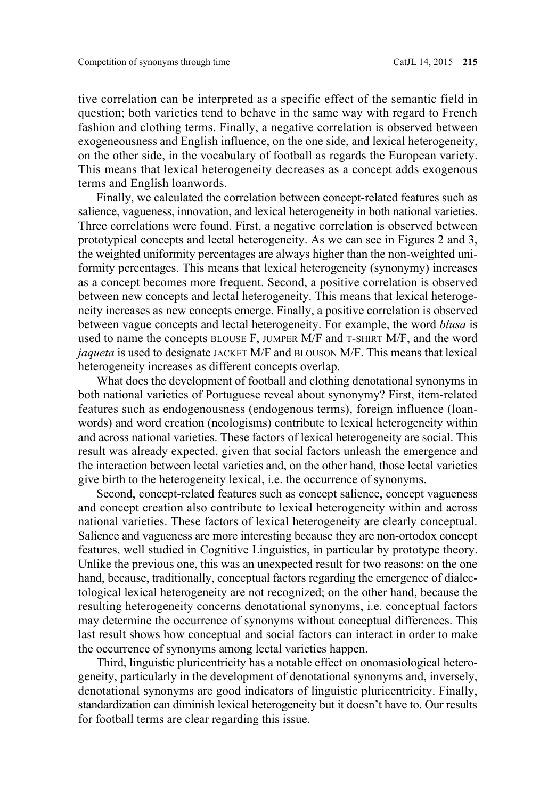tive correlation can be interpreted as a specific effect of the semantic field in question; both varieties tend to behave in the same way with regard to French fashion and clothing terms. Finally, a negative correlation is observed between exogeneousness and English influence, on the one side, and lexical heterogeneity, on the other side, in the vocabulary of football as regards the European variety. This means that lexical heterogeneity decreases as a concept adds exogenous terms and English loanwords.

Finally, we calculated the correlation between concept-related features such as salience, vagueness, innovation, and lexical heterogeneity in both national varieties. Three correlations were found. First, a negative correlation is observed between prototypical concepts and lectal heterogeneity. As we can see in Figures 2 and 3, the weighted uniformity percentages are always higher than the non-weighted uniformity percentages. This means that lexical heterogeneity (synonymy) increases as a concept becomes more frequent. Second, a positive correlation is observed between new concepts and lectal heterogeneity. This means that lexical heterogeneity increases as new concepts emerge. Finally, a positive correlation is observed between vague concepts and lectal heterogeneity. For example, the word *blusa* is used to name the concepts BLOUSE F, JUMPER M/F and T-SHIRT M/F, and the word *jaqueta* is used to designate JACKET M/F and BLOUSON M/F. This means that lexical heterogeneity increases as different concepts overlap.

What does the development of football and clothing denotational synonyms in both national varieties of Portuguese reveal about synonymy? First, item-related features such as endogenousness (endogenous terms), foreign influence (loanwords) and word creation (neologisms) contribute to lexical heterogeneity within and across national varieties. These factors of lexical heterogeneity are social. This result was already expected, given that social factors unleash the emergence and the interaction between lectal varieties and, on the other hand, those lectal varieties give birth to the heterogeneity lexical, i.e. the occurrence of synonyms.

Second, concept-related features such as concept salience, concept vagueness and concept creation also contribute to lexical heterogeneity within and across national varieties. These factors of lexical heterogeneity are clearly conceptual. Salience and vagueness are more interesting because they are non-ortodox concept features, well studied in Cognitive Linguistics, in particular by prototype theory. Unlike the previous one, this was an unexpected result for two reasons: on the one hand, because, traditionally, conceptual factors regarding the emergence of dialectological lexical heterogeneity are not recognized; on the other hand, because the resulting heterogeneity concerns denotational synonyms, i.e. conceptual factors may determine the occurrence of synonyms without conceptual differences. This last result shows how conceptual and social factors can interact in order to make the occurrence of synonyms among lectal varieties happen.

Third, linguistic pluricentricity has a notable effect on onomasiological heterogeneity, particularly in the development of denotational synonyms and, inversely, denotational synonyms are good indicators of linguistic pluricentricity. Finally, standardization can diminish lexical heterogeneity but it doesn't have to. Our results for football terms are clear regarding this issue.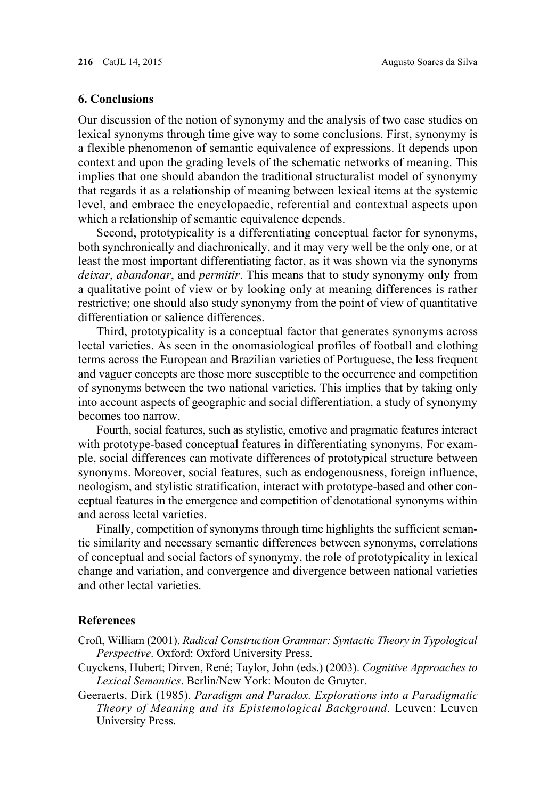# **6. Conclusions**

Our discussion of the notion of synonymy and the analysis of two case studies on lexical synonyms through time give way to some conclusions. First, synonymy is a flexible phenomenon of semantic equivalence of expressions. It depends upon context and upon the grading levels of the schematic networks of meaning. This implies that one should abandon the traditional structuralist model of synonymy that regards it as a relationship of meaning between lexical items at the systemic level, and embrace the encyclopaedic, referential and contextual aspects upon which a relationship of semantic equivalence depends.

Second, prototypicality is a differentiating conceptual factor for synonyms, both synchronically and diachronically, and it may very well be the only one, or at least the most important differentiating factor, as it was shown via the synonyms *deixar*, *abandonar*, and *permitir*. This means that to study synonymy only from a qualitative point of view or by looking only at meaning differences is rather restrictive; one should also study synonymy from the point of view of quantitative differentiation or salience differences.

Third, prototypicality is a conceptual factor that generates synonyms across lectal varieties. As seen in the onomasiological profiles of football and clothing terms across the European and Brazilian varieties of Portuguese, the less frequent and vaguer concepts are those more susceptible to the occurrence and competition of synonyms between the two national varieties. This implies that by taking only into account aspects of geographic and social differentiation, a study of synonymy becomes too narrow.

Fourth, social features, such as stylistic, emotive and pragmatic features interact with prototype-based conceptual features in differentiating synonyms. For example, social differences can motivate differences of prototypical structure between synonyms. Moreover, social features, such as endogenousness, foreign influence, neologism, and stylistic stratification, interact with prototype-based and other conceptual features in the emergence and competition of denotational synonyms within and across lectal varieties.

Finally, competition of synonyms through time highlights the sufficient semantic similarity and necessary semantic differences between synonyms, correlations of conceptual and social factors of synonymy, the role of prototypicality in lexical change and variation, and convergence and divergence between national varieties and other lectal varieties.

#### **References**

- Croft, William (2001). *Radical Construction Grammar: Syntactic Theory in Typological Perspective*. Oxford: Oxford University Press.
- Cuyckens, Hubert; Dirven, René; Taylor, John (eds.) (2003). *Cognitive Approaches to Lexical Semantics*. Berlin/New York: Mouton de Gruyter.
- Geeraerts, Dirk (1985). *Paradigm and Paradox. Explorations into a Paradigmatic Theory of Meaning and its Epistemological Background*. Leuven: Leuven University Press.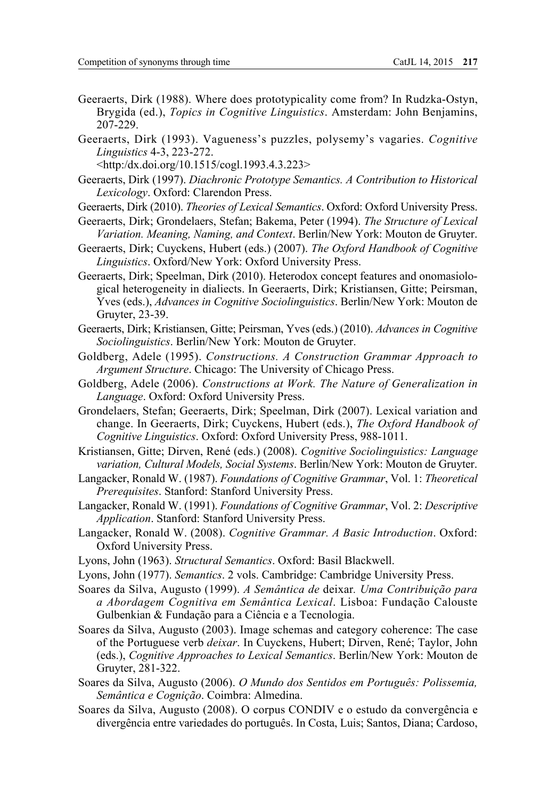- Geeraerts, Dirk (1988). Where does prototypicality come from? In Rudzka-Ostyn, Brygida (ed.), *Topics in Cognitive Linguistics*. Amsterdam: John Benjamins, 207-229.
- Geeraerts, Dirk (1993). Vagueness's puzzles, polysemy's vagaries. *Cognitive Linguistics* 4-3, 223-272.

[<http:/dx.doi.org/10.1515/cogl.1993.4.3.223>](http://www.degruyter.com/view/j/cogl.1993.4.issue-3/cogl.1993.4.3.223/cogl.1993.4.3.223.xml)

- Geeraerts, Dirk (1997). *Diachronic Prototype Semantics. A Contribution to Historical Lexicology*. Oxford: Clarendon Press.
- Geeraerts, Dirk (2010). *Theories of Lexical Semantics*. Oxford: Oxford University Press.
- Geeraerts, Dirk; Grondelaers, Stefan; Bakema, Peter (1994). *The Structure of Lexical Variation. Meaning, Naming, and Context*. Berlin/New York: Mouton de Gruyter.
- Geeraerts, Dirk; Cuyckens, Hubert (eds.) (2007). *The Oxford Handbook of Cognitive Linguistics*. Oxford/New York: Oxford University Press.
- Geeraerts, Dirk; Speelman, Dirk (2010). Heterodox concept features and onomasiological heterogeneity in dialiects. In Geeraerts, Dirk; Kristiansen, Gitte; Peirsman, Yves (eds.), *Advances in Cognitive Sociolinguistics*. Berlin/New York: Mouton de Gruyter, 23-39.
- Geeraerts, Dirk; Kristiansen, Gitte; Peirsman, Yves (eds.) (2010). *Advances in Cognitive Sociolinguistics*. Berlin/New York: Mouton de Gruyter.
- Goldberg, Adele (1995). *Constructions. A Construction Grammar Approach to Argument Structure*. Chicago: The University of Chicago Press.
- Goldberg, Adele (2006). *Constructions at Work. The Nature of Generalization in Language*. Oxford: Oxford University Press.
- Grondelaers, Stefan; Geeraerts, Dirk; Speelman, Dirk (2007). Lexical variation and change. In Geeraerts, Dirk; Cuyckens, Hubert (eds.), *The Oxford Handbook of Cognitive Linguistics*. Oxford: Oxford University Press, 988-1011.
- Kristiansen, Gitte; Dirven, René (eds.) (2008). *Cognitive Sociolinguistics: Language variation, Cultural Models, Social Systems*. Berlin/New York: Mouton de Gruyter.
- Langacker, Ronald W. (1987). *Foundations of Cognitive Grammar*, Vol. 1: *Theoretical Prerequisites*. Stanford: Stanford University Press.
- Langacker, Ronald W. (1991). *Foundations of Cognitive Grammar*, Vol. 2: *Descriptive Application*. Stanford: Stanford University Press.
- Langacker, Ronald W. (2008). *Cognitive Grammar. A Basic Introduction*. Oxford: Oxford University Press.
- Lyons, John (1963). *Structural Semantics*. Oxford: Basil Blackwell.
- Lyons, John (1977). *Semantics*. 2 vols. Cambridge: Cambridge University Press.
- Soares da Silva, Augusto (1999). *A Semântica de* deixar*. Uma Contribuição para a Abordagem Cognitiva em Semântica Lexical*. Lisboa: Fundação Calouste Gulbenkian & Fundação para a Ciência e a Tecnologia.
- Soares da Silva, Augusto (2003). Image schemas and category coherence: The case of the Portuguese verb *deixar*. In Cuyckens, Hubert; Dirven, René; Taylor, John (eds.), *Cognitive Approaches to Lexical Semantics*. Berlin/New York: Mouton de Gruyter, 281-322.
- Soares da Silva, Augusto (2006). *O Mundo dos Sentidos em Português: Polissemia, Semântica e Cognição*. Coimbra: Almedina.
- Soares da Silva, Augusto (2008). O corpus CONDIV e o estudo da convergência e divergência entre variedades do português. In Costa, Luis; Santos, Diana; Cardoso,